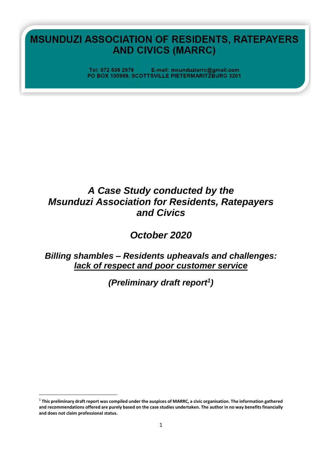**MSUNDUZI ASSOCIATION OF RESIDENTS, RATEPAYERS AND CIVICS (MARRC)** 

> Tel: 072 536 2978 E-mail: msunduziarrc@gmail.com PO BOX 100969, SCOTTSVILLE PIETERMARITZBURG 3201

# *A Case Study conducted by the Msunduzi Association for Residents, Ratepayers and Civics*

*October 2020* 

# *Billing shambles – Residents upheavals and challenges: lack of respect and poor customer service*

*(Preliminary draft report<sup>1</sup> )*

<sup>1</sup> **This preliminary draft report was compiled under the auspices of MARRC, a civic organisation. The information gathered and recommendations offered are purely based on the case studies undertaken. The author in no way benefits financially and does not claim professional status.**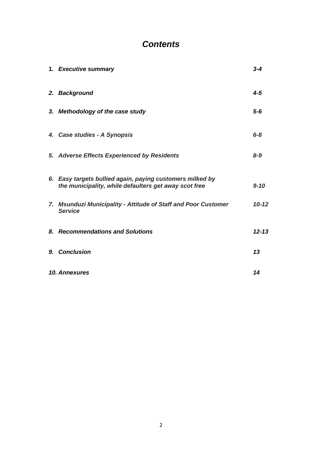# *Contents*

| 1. Executive summary                                                                                               | $3 - 4$   |
|--------------------------------------------------------------------------------------------------------------------|-----------|
| 2. Background                                                                                                      | $4 - 5$   |
| 3. Methodology of the case study                                                                                   | $5-6$     |
| 4. Case studies - A Synopsis                                                                                       | $6 - 8$   |
| 5. Adverse Effects Experienced by Residents                                                                        | $8 - 9$   |
| 6. Easy targets bullied again, paying customers milked by<br>the municipality, while defaulters get away scot free | $9 - 10$  |
| 7. Msunduzi Municipality - Attitude of Staff and Poor Customer<br><b>Service</b>                                   | $10 - 12$ |
| 8. Recommendations and Solutions                                                                                   | $12 - 13$ |
| 9. Conclusion                                                                                                      | 13        |
| 10. Annexures                                                                                                      | 14        |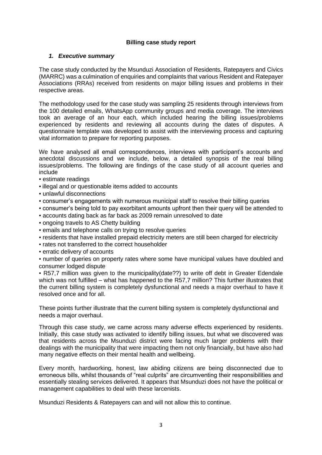#### **Billing case study report**

#### *1. Executive summary*

The case study conducted by the Msunduzi Association of Residents, Ratepayers and Civics (MARRC) was a culmination of enquiries and complaints that various Resident and Ratepayer Associations (RRAs) received from residents on major billing issues and problems in their respective areas.

The methodology used for the case study was sampling 25 residents through interviews from the 100 detailed emails, WhatsApp community groups and media coverage. The interviews took an average of an hour each, which included hearing the billing issues/problems experienced by residents and reviewing all accounts during the dates of disputes. A questionnaire template was developed to assist with the interviewing process and capturing vital information to prepare for reporting purposes.

We have analysed all email correspondences, interviews with participant's accounts and anecdotal discussions and we include, below, a detailed synopsis of the real billing issues/problems. The following are findings of the case study of all account queries and include

- estimate readings
- illegal and or questionable items added to accounts
- unlawful disconnections
- consumer's engagements with numerous municipal staff to resolve their billing queries
- consumer's being told to pay exorbitant amounts upfront then their query will be attended to
- accounts dating back as far back as 2009 remain unresolved to date
- ongoing travels to AS Chetty building
- **EXECT:** emails and telephone calls on trying to resolve queries
- residents that have installed prepaid electricity meters are still been charged for electricity
- rates not transferred to the correct householder
- **erratic delivery of accounts**

▪ number of queries on property rates where some have municipal values have doubled and consumer lodged dispute

▪ R57,7 million was given to the municipality(date??) to write off debt in Greater Edendale which was not fulfilled – what has happened to the R57,7 million? This further illustrates that the current billing system is completely dysfunctional and needs a major overhaul to have it resolved once and for all.

These points further illustrate that the current billing system is completely dysfunctional and needs a major overhaul.

Through this case study, we came across many adverse effects experienced by residents. Initially, this case study was activated to identify billing issues, but what we discovered was that residents across the Msunduzi district were facing much larger problems with their dealings with the municipality that were impacting them not only financially, but have also had many negative effects on their mental health and wellbeing.

Every month, hardworking, honest, law abiding citizens are being disconnected due to erroneous bills, whilst thousands of "real culprits" are circumventing their responsibilities and essentially stealing services delivered. It appears that Msunduzi does not have the political or management capabilities to deal with these larcenists.

Msunduzi Residents & Ratepayers can and will not allow this to continue.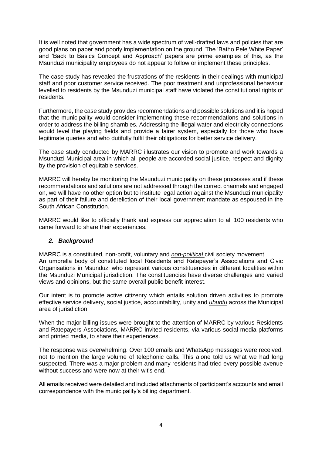It is well noted that government has a wide spectrum of well-drafted laws and policies that are good plans on paper and poorly implementation on the ground. The 'Batho Pele White Paper' and 'Back to Basics Concept and Approach' papers are prime examples of this, as the Msunduzi municipality employees do not appear to follow or implement these principles.

The case study has revealed the frustrations of the residents in their dealings with municipal staff and poor customer service received. The poor treatment and unprofessional behaviour levelled to residents by the Msunduzi municipal staff have violated the constitutional rights of residents.

Furthermore, the case study provides recommendations and possible solutions and it is hoped that the municipality would consider implementing these recommendations and solutions in order to address the billing shambles. Addressing the illegal water and electricity connections would level the playing fields and provide a fairer system, especially for those who have legitimate queries and who dutifully fulfil their obligations for better service delivery.

The case study conducted by MARRC illustrates our vision to promote and work towards a Msunduzi Municipal area in which all people are accorded social justice, respect and dignity by the provision of equitable services.

MARRC will hereby be monitoring the Msunduzi municipality on these processes and if these recommendations and solutions are not addressed through the correct channels and engaged on, we will have no other option but to institute legal action against the Msunduzi municipality as part of their failure and dereliction of their local government mandate as espoused in the South African Constitution.

MARRC would like to officially thank and express our appreciation to all 100 residents who came forward to share their experiences.

# *2. Background*

MARRC is a constituted, non-profit, voluntary and *non-political* civil society movement. An umbrella body of constituted local Residents and Ratepayer's Associations and Civic Organisations in Msunduzi who represent various constituencies in different localities within the Msunduzi Municipal jurisdiction. The constituencies have diverse challenges and varied views and opinions, but the same overall public benefit interest.

Our intent is to promote active citizenry which entails solution driven activities to promote effective service delivery, social justice, accountability, unity and *ubuntu* across the Municipal area of jurisdiction.

When the major billing issues were brought to the attention of MARRC by various Residents and Ratepayers Associations, MARRC invited residents, via various social media platforms and printed media, to share their experiences.

The response was overwhelming. Over 100 emails and WhatsApp messages were received, not to mention the large volume of telephonic calls. This alone told us what we had long suspected. There was a major problem and many residents had tried every possible avenue without success and were now at their wit's end.

All emails received were detailed and included attachments of participant's accounts and email correspondence with the municipality's billing department.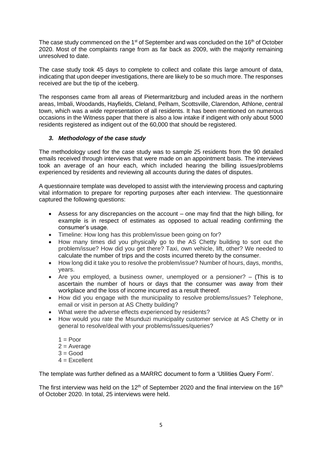The case study commenced on the 1 $s<sup>st</sup>$  of September and was concluded on the 16<sup>th</sup> of October 2020. Most of the complaints range from as far back as 2009, with the majority remaining unresolved to date.

The case study took 45 days to complete to collect and collate this large amount of data, indicating that upon deeper investigations, there are likely to be so much more. The responses received are but the tip of the iceberg.

The responses came from all areas of Pietermaritzburg and included areas in the northern areas, Imbali, Woodands, Hayfields, Cleland, Pelham, Scottsville, Clarendon, Athlone, central town, which was a wide representation of all residents. It has been mentioned on numerous occasions in the Witness paper that there is also a low intake if indigent with only about 5000 residents registered as indigent out of the 60,000 that should be registered.

### *3. Methodology of the case study*

The methodology used for the case study was to sample 25 residents from the 90 detailed emails received through interviews that were made on an appointment basis. The interviews took an average of an hour each, which included hearing the billing issues/problems experienced by residents and reviewing all accounts during the dates of disputes.

A questionnaire template was developed to assist with the interviewing process and capturing vital information to prepare for reporting purposes after each interview. The questionnaire captured the following questions:

- Assess for any discrepancies on the account one may find that the high billing, for example is in respect of estimates as opposed to actual reading confirming the consumer's usage.
- Timeline: How long has this problem/issue been going on for?
- How many times did you physically go to the AS Chetty building to sort out the problem/issue? How did you get there? Taxi, own vehicle, lift, other? We needed to calculate the number of trips and the costs incurred thereto by the consumer.
- How long did it take you to resolve the problem/issue? Number of hours, days, months, years.
- Are you employed, a business owner, unemployed or a pensioner? (This is to ascertain the number of hours or days that the consumer was away from their workplace and the loss of income incurred as a result thereof.
- How did you engage with the municipality to resolve problems/issues? Telephone, email or visit in person at AS Chetty building?
- What were the adverse effects experienced by residents?
- How would you rate the Msunduzi municipality customer service at AS Chetty or in general to resolve/deal with your problems/issues/queries?
	- $1 =$ Poor
	- $2 = Average$
	- $3 = Good$
	- $4 =$  Fxcellent

The template was further defined as a MARRC document to form a 'Utilities Query Form'.

The first interview was held on the 12<sup>th</sup> of September 2020 and the final interview on the 16<sup>th</sup> of October 2020. In total, 25 interviews were held.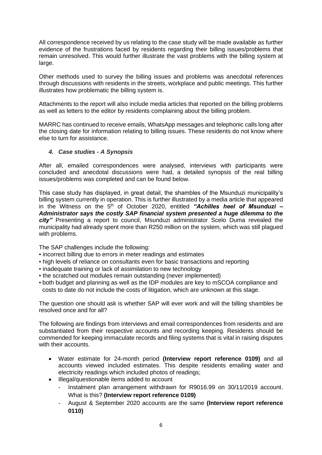All correspondence received by us relating to the case study will be made available as further evidence of the frustrations faced by residents regarding their billing issues/problems that remain unresolved. This would further illustrate the vast problems with the billing system at large.

Other methods used to survey the billing issues and problems was anecdotal references through discussions with residents in the streets, workplace and public meetings. This further illustrates how problematic the billing system is.

Attachments to the report will also include media articles that reported on the billing problems as well as letters to the editor by residents complaining about the billing problem.

MARRC has continued to receive emails, WhatsApp messages and telephonic calls long after the closing date for information relating to billing issues. These residents do not know where else to turn for assistance.

#### *4. Case studies - A Synopsis*

After all, emailed correspondences were analysed, interviews with participants were concluded and anecdotal discussions were had, a detailed synopsis of the real billing issues/problems was completed and can be found below.

This case study has displayed, in great detail, the shambles of the Msunduzi municipality's billing system currently in operation. This is further illustrated by a media article that appeared in the Witness on the 5<sup>th</sup> of October 2020, entitled "Achilles heel of Msunduzi – *Administrator says the costly SAP financial system presented a huge dilemma to the city"* Presenting a report to council, Msunduzi administrator Scelo Duma revealed the municipality had already spent more than R250 million on the system, which was still plagued with problems.

The SAP challenges include the following:

- **.** incorrect billing due to errors in meter readings and estimates
- high levels of reliance on consultants even for basic transactions and reporting
- inadequate training or lack of assimilation to new technology
- the scratched out modules remain outstanding (never implemented)
- both budget and planning as well as the IDP modules are key to mSCOA compliance and costs to date do not include the costs of litigation, which are unknown at this stage.

The question one should ask is whether SAP will ever work and will the billing shambles be resolved once and for all?

The following are findings from interviews and email correspondences from residents and are substantiated from their respective accounts and recording keeping. Residents should be commended for keeping immaculate records and filing systems that is vital in raising disputes with their accounts.

- Water estimate for 24-month period **(Interview report reference 0109)** and all accounts viewed included estimates. This despite residents emailing water and electricity readings which included photos of readings;
- Illegal/questionable items added to account
	- Instalment plan arrangement withdrawn for R9016.99 on 30/11/2019 account. What is this? **(Interview report reference 0109)**
	- August & September 2020 accounts are the same **(Interview report reference 0110)**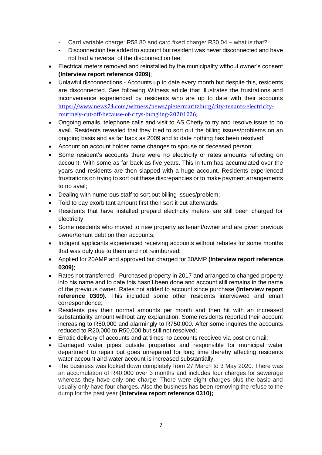- Card variable charge: R58.80 and card fixed charge: R30.04 what is that?
- Disconnection fee added to account but resident was never disconnected and have not had a reversal of the disconnection fee;
- Electrical meters removed and reinstalled by the municipality without owner's consent **(Interview report reference 0209)**;
- Unlawful disconnections Accounts up to date every month but despite this, residents are disconnected. See following Witness article that illustrates the frustrations and inconvenience experienced by residents who are up to date with their accounts [https://www.news24.com/witness/news/pietermaritzburg/city-tenants-electricity](https://www.news24.com/witness/news/pietermaritzburg/city-tenants-electricity-routinely-cut-off-because-of-citys-bungling-20201026)[routinely-cut-off-because-of-citys-bungling-20201026;](https://www.news24.com/witness/news/pietermaritzburg/city-tenants-electricity-routinely-cut-off-because-of-citys-bungling-20201026)
- Ongoing emails, telephone calls and visit to AS Chetty to try and resolve issue to no avail. Residents revealed that they tried to sort out the billing issues/problems on an ongoing basis and as far back as 2009 and to date nothing has been resolved;
- Account on account holder name changes to spouse or deceased person;
- Some resident's accounts there were no electricity or rates amounts reflecting on account. With some as far back as five years. This in turn has accumulated over the years and residents are then slapped with a huge account. Residents experienced frustrations on trying to sort out these discrepancies or to make payment arrangements to no avail;
- Dealing with numerous staff to sort out billing issues/problem;
- Told to pay exorbitant amount first then sort it out afterwards;
- Residents that have installed prepaid electricity meters are still been charged for electricity;
- Some residents who moved to new property as tenant/owner and are given previous owner/tenant debt on their accounts;
- Indigent applicants experienced receiving accounts without rebates for some months that was duly due to them and not reimbursed;
- Applied for 20AMP and approved but charged for 30AMP **(Interview report reference 0309)**;
- Rates not transferred Purchased property in 2017 and arranged to changed property into his name and to date this hasn't been done and account still remains in the name of the previous owner. Rates not added to account since purchase **(Interview report reference 0309).** This included some other residents interviewed and email correspondence;
- Residents pay their normal amounts per month and then hit with an increased substantiality amount without any explanation. Some residents reported their account increasing to R50,000 and alarmingly to R750,000. After some inquires the accounts reduced to R20,000 to R50,000 but still not resolved;
- Erratic delivery of accounts and at times no accounts received via post or email;
- Damaged water pipes outside properties and responsible for municipal water department to repair but goes unrepaired for long time thereby affecting residents water account and water account is increased substantially;
- The business was locked down completely from 27 March to 3 May 2020. There was an accumulation of R40,000 over 3 months and includes four charges for sewerage whereas they have only one charge. There were eight charges plus the basic and usually only have four charges. Also the business has been removing the refuse to the dump for the past year **(Interview report reference 0310);**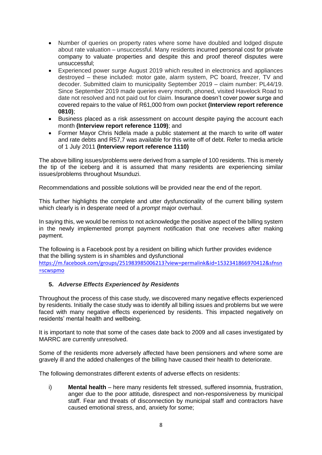- Number of queries on property rates where some have doubled and lodged dispute about rate valuation – unsuccessful. Many residents incurred personal cost for private company to valuate properties and despite this and proof thereof disputes were unsuccessful;
- Experienced power surge August 2019 which resulted in electronics and appliances destroyed – these included: motor gate, alarm system, PC board, freezer, TV and decoder. Submitted claim to municipality September 2019 – claim number: PL44/19. Since September 2019 made queries every month, phoned, visited Havelock Road to date not resolved and not paid out for claim. Insurance doesn't cover power surge and covered repairs to the value of R61,000 from own pocket **(Interview report reference 0810)**;
- Business placed as a risk assessment on account despite paying the account each month **(Interview report reference 1109)**; and
- Former Mayor Chris Ndlela made a public statement at the march to write off water and rate debts and R57,7 was available for this write off of debt. Refer to media article of 1 July 2011 **(Interview report reference 1110)**

The above billing issues/problems were derived from a sample of 100 residents. This is merely the tip of the iceberg and it is assumed that many residents are experiencing similar issues/problems throughout Msunduzi.

Recommendations and possible solutions will be provided near the end of the report.

This further highlights the complete and utter dysfunctionality of the current billing system which clearly is in desperate need of a *prompt* major overhaul.

In saying this, we would be remiss to not acknowledge the positive aspect of the billing system in the newly implemented prompt payment notification that one receives after making payment.

The following is a Facebook post by a resident on billing which further provides evidence that the billing system is in shambles and dysfunctional [https://m.facebook.com/groups/251983985006213?view=permalink&id=1532341866970412&sfnsn](https://m.facebook.com/groups/251983985006213?view=permalink&id=1532341866970412&sfnsn=scwspmo) [=scwspmo](https://m.facebook.com/groups/251983985006213?view=permalink&id=1532341866970412&sfnsn=scwspmo)

# **5.** *Adverse Effects Experienced by Residents*

Throughout the process of this case study, we discovered many negative effects experienced by residents. Initially the case study was to identify all billing issues and problems but we were faced with many negative effects experienced by residents. This impacted negatively on residents' mental health and wellbeing.

It is important to note that some of the cases date back to 2009 and all cases investigated by MARRC are currently unresolved.

Some of the residents more adversely affected have been pensioners and where some are gravely ill and the added challenges of the billing have caused their health to deteriorate.

The following demonstrates different extents of adverse effects on residents:

i) **Mental health** – here many residents felt stressed, suffered insomnia, frustration, anger due to the poor attitude, disrespect and non-responsiveness by municipal staff. Fear and threats of disconnection by municipal staff and contractors have caused emotional stress, and, anxiety for some;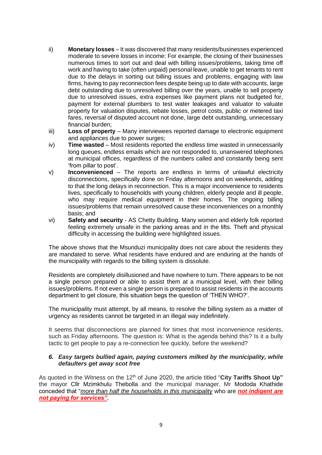- ii) **Monetary losses** It was discovered that many residents/businesses experienced moderate to severe losses in income: For example, the closing of their businesses numerous times to sort out and deal with billing issues/problems, taking time off work and having to take (often unpaid) personal leave, unable to get tenants to rent due to the delays in sorting out billing issues and problems, engaging with law firms, having to pay reconnection fees despite being up to date with accounts, large debt outstanding due to unresolved billing over the years, unable to sell property due to unresolved issues, extra expenses like payment plans not budgeted for, payment for external plumbers to test water leakages and valuator to valuate property for valuation disputes, rebate losses, petrol costs, public or metered taxi fares, reversal of disputed account not done, large debt outstanding, unnecessary financial burden;
- iii) **Loss of property** Many interviewees reported damage to electronic equipment and appliances due to power surges;
- iv) **Time wasted** Most residents reported the endless time wasted in unnecessarily long queues, endless emails which are not responded to, unanswered telephones at municipal offices, regardless of the numbers called and constantly being sent 'from pillar to post'.
- v) **Inconvenienced** The reports are endless in terms of unlawful electricity disconnections, specifically done on Friday afternoons and on weekends, adding to that the long delays in reconnection. This is a major inconvenience to residents lives, specifically to households with young children, elderly people and ill people, who may require medical equipment in their homes. The ongoing billing issues/problems that remain unresolved cause these inconveniences on a monthly basis; and
- vi) **Safety and security** AS Chetty Building. Many women and elderly folk reported feeling extremely unsafe in the parking areas and in the lifts. Theft and physical difficulty in accessing the building were highlighted issues.

The above shows that the Msunduzi municipality does not care about the residents they are mandated to serve. What residents have endured and are enduring at the hands of the municipality with regards to the billing system is dissolute.

Residents are completely disillusioned and have nowhere to turn. There appears to be not a single person prepared or able to assist them at a municipal level, with their billing issues/problems. If not even a single person is prepared to assist residents in the accounts department to get closure, this situation begs the question of 'THEN WHO?'.

The municipality must attempt, by all means, to resolve the billing system as a matter of urgency as residents cannot be targeted in an illegal way indefinitely.

It seems that disconnections are planned for times that most inconvenience residents, such as Friday afternoons. The question is: What is the agenda behind this? Is it a bully tactic to get people to pay a re-connection fee quickly, before the weekend?

#### *6. Easy targets bullied again, paying customers milked by the municipality, while defaulters get away scot free*

As quoted in the Witness on the 12<sup>th</sup> of June 2020, the article titled "City Tariffs Shoot Up" the mayor Cllr Mzimkhulu Thebolla and the municipal manager, Mr Mododa Khathide conceded that "*more than half the households in this municipality* who are *not indigent are not paying for services"***.**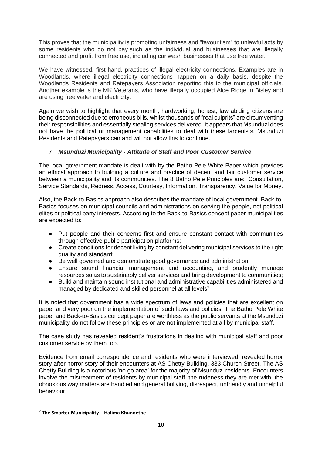This proves that the municipality is promoting unfairness and "favouritism" to unlawful acts by some residents who do not pay such as the individual and businesses that are illegally connected and profit from free use, including car wash businesses that use free water.

We have witnessed, first-hand, practices of illegal electricity connections. Examples are in Woodlands, where illegal electricity connections happen on a daily basis, despite the Woodlands Residents and Ratepayers Association reporting this to the municipal officials. Another example is the MK Veterans, who have illegally occupied Aloe Ridge in Bisley and are using free water and electricity.

Again we wish to highlight that every month, hardworking, honest, law abiding citizens are being disconnected due to erroneous bills, whilst thousands of "real culprits" are circumventing their responsibilities and essentially stealing services delivered. It appears that Msunduzi does not have the political or management capabilities to deal with these larcenists. Msunduzi Residents and Ratepayers can and will not allow this to continue.

# 7. *Msunduzi Municipality - Attitude of Staff and Poor Customer Service*

The local government mandate is dealt with by the Batho Pele White Paper which provides an ethical approach to building a culture and practice of decent and fair customer service between a municipality and its communities. The 8 Batho Pele Principles are: Consultation, Service Standards, Redress, Access, Courtesy, Information, Transparency, Value for Money.

Also, the Back-to-Basics approach also describes the mandate of local government. Back-to-Basics focuses on municipal councils and administrations on serving the people, not political elites or political party interests. According to the Back-to-Basics concept paper municipalities are expected to:

- Put people and their concerns first and ensure constant contact with communities through effective public participation platforms;
- Create conditions for decent living by constant delivering municipal services to the right quality and standard;
- Be well governed and demonstrate good governance and administration;
- Ensure sound financial management and accounting, and prudently manage resources so as to sustainably deliver services and bring development to communities;
- Build and maintain sound institutional and administrative capabilities administered and managed by dedicated and skilled personnel at all levels $2$

It is noted that government has a wide spectrum of laws and policies that are excellent on paper and very poor on the implementation of such laws and policies. The Batho Pele White paper and Back-to-Basics concept paper are worthless as the public servants at the Msunduzi municipality do not follow these principles or are not implemented at all by municipal staff.

The case study has revealed resident's frustrations in dealing with municipal staff and poor customer service by them too.

Evidence from email correspondence and residents who were interviewed, revealed horror story after horror story of their encounters at AS Chetty Building, 333 Church Street. The AS Chetty Building is a notorious 'no go area' for the majority of Msunduzi residents. Encounters involve the mistreatment of residents by municipal staff, the rudeness they are met with, the obnoxious way matters are handled and general bullying, disrespect, unfriendly and unhelpful behaviour.

<sup>2</sup> **The Smarter Municipality – Halima Khunoethe**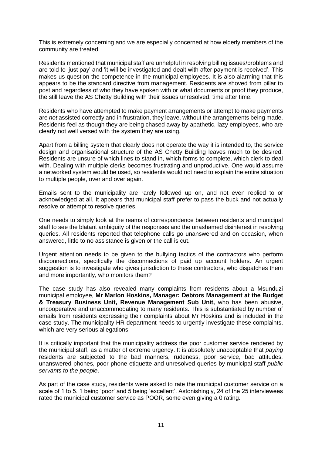This is extremely concerning and we are especially concerned at how elderly members of the community are treated.

Residents mentioned that municipal staff are unhelpful in resolving billing issues/problems and are told to 'just pay' and 'it will be investigated and dealt with after payment is received'. This makes us question the competence in the municipal employees. It is also alarming that this appears to be the standard directive from management. Residents are shoved from pillar to post and regardless of who they have spoken with or what documents or proof they produce, the still leave the AS Chetty Building with their issues unresolved, time after time.

Residents who have attempted to make payment arrangements or attempt to make payments are *not* assisted correctly and in frustration, they leave, without the arrangements being made. Residents feel as though they are being chased away by apathetic, lazy employees, who are clearly not well versed with the system they are using.

Apart from a billing system that clearly does not operate the way it is intended to, the service design and organisational structure of the AS Chetty Building leaves much to be desired. Residents are unsure of which lines to stand in, which forms to complete, which clerk to deal with. Dealing with multiple clerks becomes frustrating and unproductive. One would assume a networked system would be used, so residents would not need to explain the entire situation to multiple people, over and over again.

Emails sent to the municipality are rarely followed up on, and not even replied to or acknowledged at all. It appears that municipal staff prefer to pass the buck and not actually resolve or attempt to resolve queries.

One needs to simply look at the reams of correspondence between residents and municipal staff to see the blatant ambiguity of the responses and the unashamed disinterest in resolving queries. All residents reported that telephone calls go unanswered and on occasion, when answered, little to no assistance is given or the call is cut.

Urgent attention needs to be given to the bullying tactics of the contractors who perform disconnections, specifically the disconnections of paid up account holders. An urgent suggestion is to investigate who gives jurisdiction to these contractors, who dispatches them and more importantly, who monitors them?

The case study has also revealed many complaints from residents about a Msunduzi municipal employee, **Mr Marlon Hoskins, Manager: Debtors Management at the Budget & Treasury Business Unit, Revenue Management Sub Unit,** who has been abusive, uncooperative and unaccommodating to many residents. This is substantiated by number of emails from residents expressing their complaints about Mr Hoskins and is included in the case study. The municipality HR department needs to urgently investigate these complaints, which are very serious allegations.

It is critically important that the municipality address the poor customer service rendered by the municipal staff, as a matter of extreme urgency. It is absolutely unacceptable that *paying* residents are subjected to the bad manners, rudeness, poor service, bad attitudes, unanswered phones, poor phone etiquette and unresolved queries by municipal staff-*public servants to the people*.

As part of the case study, residents were asked to rate the municipal customer service on a scale of 1 to 5. 1 being 'poor' and 5 being 'excellent'. Astonishingly, 24 of the 25 interviewees rated the municipal customer service as POOR, some even giving a 0 rating.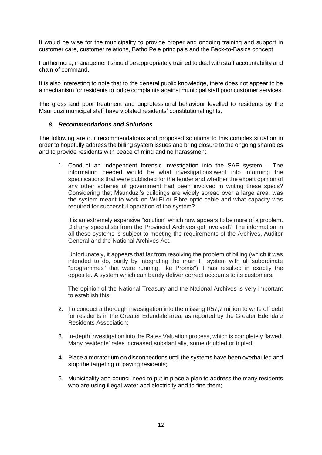It would be wise for the municipality to provide proper and ongoing training and support in customer care, customer relations, Batho Pele principals and the Back-to-Basics concept.

Furthermore, management should be appropriately trained to deal with staff accountability and chain of command.

It is also interesting to note that to the general public knowledge, there does not appear to be a mechanism for residents to lodge complaints against municipal staff poor customer services.

The gross and poor treatment and unprofessional behaviour levelled to residents by the Msunduzi municipal staff have violated residents' constitutional rights.

#### *8. Recommendations and Solutions*

The following are our recommendations and proposed solutions to this complex situation in order to hopefully address the billing system issues and bring closure to the ongoing shambles and to provide residents with peace of mind and no harassment.

1. Conduct an independent forensic investigation into the SAP system – The information needed would be what investigations went into informing the specifications that were published for the tender and whether the expert opinion of any other spheres of government had been involved in writing these specs? Considering that Msunduzi's buildings are widely spread over a large area, was the system meant to work on Wi-Fi or Fibre optic cable and what capacity was required for successful operation of the system?

It is an extremely expensive "solution" which now appears to be more of a problem. Did any specialists from the Provincial Archives get involved? The information in all these systems is subject to meeting the requirements of the Archives, Auditor General and the National Archives Act.

Unfortunately, it appears that far from resolving the problem of billing (which it was intended to do, partly by integrating the main IT system with all subordinate "programmes" that were running, like Promis") it has resulted in exactly the opposite. A system which can barely deliver correct accounts to its customers.

The opinion of the National Treasury and the National Archives is very important to establish this;

- 2. To conduct a thorough investigation into the missing R57,7 million to write off debt for residents in the Greater Edendale area, as reported by the Greater Edendale Residents Association;
- 3. In-depth investigation into the Rates Valuation process, which is completely flawed. Many residents' rates increased substantially, some doubled or tripled;
- 4. Place a moratorium on disconnections until the systems have been overhauled and stop the targeting of paying residents;
- 5. Municipality and council need to put in place a plan to address the many residents who are using illegal water and electricity and to fine them;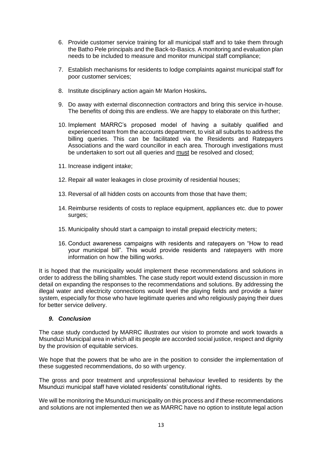- 6. Provide customer service training for all municipal staff and to take them through the Batho Pele principals and the Back-to-Basics. A monitoring and evaluation plan needs to be included to measure and monitor municipal staff compliance;
- 7. Establish mechanisms for residents to lodge complaints against municipal staff for poor customer services;
- 8. Institute disciplinary action again Mr Marlon Hoskins**.**
- 9. Do away with external disconnection contractors and bring this service in-house. The benefits of doing this are endless. We are happy to elaborate on this further;
- 10. Implement MARRC's proposed model of having a suitably qualified and experienced team from the accounts department, to visit all suburbs to address the billing queries. This can be facilitated via the Residents and Ratepayers Associations and the ward councillor in each area. Thorough investigations must be undertaken to sort out all queries and must be resolved and closed;
- 11. Increase indigent intake;
- 12. Repair all water leakages in close proximity of residential houses;
- 13. Reversal of all hidden costs on accounts from those that have them;
- 14. Reimburse residents of costs to replace equipment, appliances etc. due to power surges;
- 15. Municipality should start a campaign to install prepaid electricity meters;
- 16. Conduct awareness campaigns with residents and ratepayers on "How to read your municipal bill". This would provide residents and ratepayers with more information on how the billing works.

It is hoped that the municipality would implement these recommendations and solutions in order to address the billing shambles. The case study report would extend discussion in more detail on expanding the responses to the recommendations and solutions. By addressing the illegal water and electricity connections would level the playing fields and provide a fairer system, especially for those who have legitimate queries and who religiously paying their dues for better service delivery.

#### *9. Conclusion*

The case study conducted by MARRC illustrates our vision to promote and work towards a Msunduzi Municipal area in which all its people are accorded social justice, respect and dignity by the provision of equitable services.

We hope that the powers that be who are in the position to consider the implementation of these suggested recommendations, do so with urgency.

The gross and poor treatment and unprofessional behaviour levelled to residents by the Msunduzi municipal staff have violated residents' constitutional rights.

We will be monitoring the Msunduzi municipality on this process and if these recommendations and solutions are not implemented then we as MARRC have no option to institute legal action